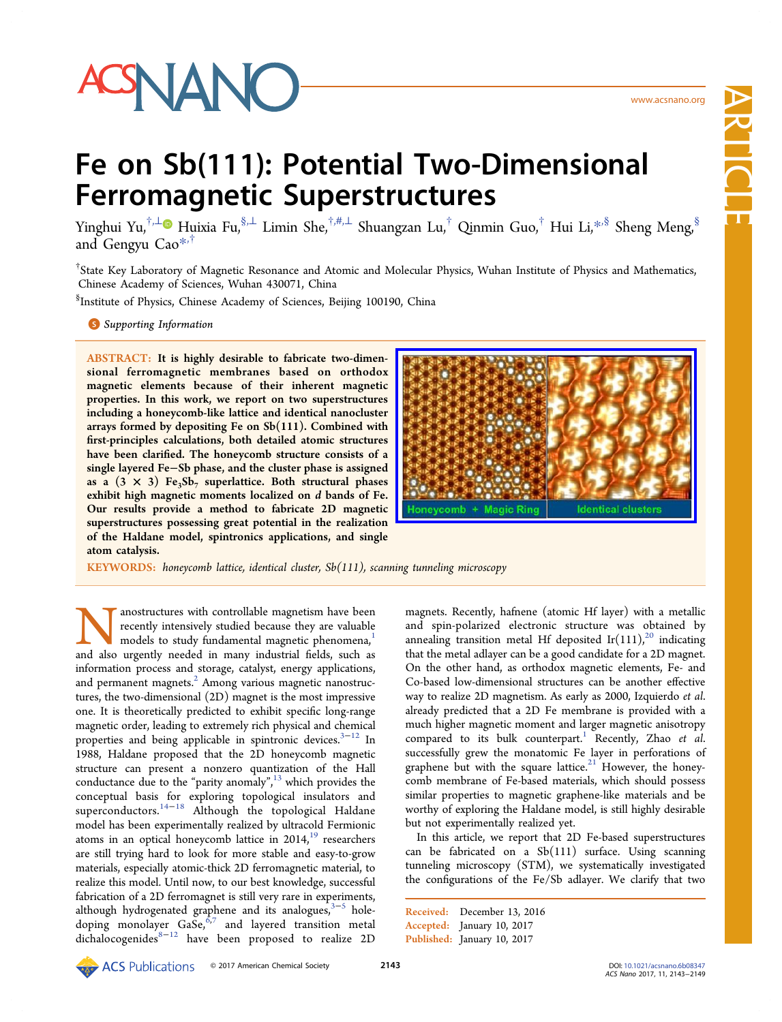

 $\overline{\phantom{0}}$ 

# Fe on Sb(111): Potential Two-Dimensional Ferromagnetic Superstructures

Yinghui Yu,<sup>†,⊥</sup> Huixia Fu,<sup>§,⊥</sup> Limin She,<sup>†,#,⊥</sup> Shuangzan Lu,<sup>†</sup> Qinmin Guo,<sup>†</sup> Hui Li,<sup>\*,§</sup> Sheng Meng,<sup>§</sup> and Gengyu [Cao](#page-6-0)\*,†

† State Key Laborator[y o](#page-6-0)f Magnetic Resonance and Atomic and Molecular Physics, Wuhan Institute of Physics and Mathematics, Chinese Academy of Sciences, Wuhan 430071, China

§ Institute of Physics, Chinese Academy of Sciences, Beijing 100190, China

**S** Supporting Information

[AB](#page-6-0)STRACT: [It is highly d](#page-6-0)esirable to fabricate two-dimensional ferromagnetic membranes based on orthodox magnetic elements because of their inherent magnetic properties. In this work, we report on two superstructures including a honeycomb-like lattice and identical nanocluster arrays formed by depositing Fe on Sb(111). Combined with first-principles calculations, both detailed atomic structures have been clarified. The honeycomb structure consists of a single layered Fe−Sb phase, and the cluster phase is assigned as a  $(3 \times 3)$  Fe<sub>3</sub>Sb<sub>7</sub> superlattice. Both structural phases exhibit high magnetic moments localized on d bands of Fe. Our results provide a method to fabricate 2D magnetic superstructures possessing great potential in the realization of the Haldane model, spintronics applications, and single atom catalysis.



KEYWORDS: honeycomb lattice, identical cluster, Sb(111), scanning tunneling microscopy

**Nanostructures with controllable magnetism have been** recently intensively studied because they are valuable models to study fundamental magnetic phenomena,<sup>1</sup> and also urgently needed in many industrial fields, such as recently intensively studied because they are valuable models to study fundamental magnetic phenomena,<sup>1</sup> information process and storage, catalyst, energy application[s,](#page-6-0) and permanent magnets.<sup>2</sup> Among various magnetic nanostructures, the two-dimensional (2D) magnet is the most impressive one. It is theoretically p[re](#page-6-0)dicted to exhibit specific long-range magnetic order, leading to extremely rich physical and chemical properties and being applicable in spintronic devices.<sup>3-12</sup> In 1988, Haldane proposed that the 2D honeycomb magnetic structure can present a nonzero quantization of t[he H](#page-6-0)all conductance due to the "parity anomaly", <sup>13</sup> which provides the conceptual basis for exploring topological insulators and superconductors.<sup>14−18</sup> Although the [top](#page-6-0)ological Haldane model has been experimentally realized by ultracold Fermionic atoms in an opti[cal ho](#page-6-0)neycomb lattice in  $2014<sup>19</sup>$  researchers are still trying hard to look for more stable and easy-to-grow materials, especially atomic-thick 2D ferromagne[tic](#page-6-0) material, to realize this model. Until now, to our best knowledge, successful fabrication of a 2D ferromagnet is still very rare in experiments, although hydrogenated graphene and its analogues,<sup>3-5</sup> holedoping monolayer  $\text{GaSe}^{6,7}$  and layered transition metal dich[a](#page-6-0)locogenides $8-12$  have been proposed to real[iz](#page-6-0)e 2D

magnets. Recently, hafnene (atomic Hf layer) with a metallic and spin-polarized electronic structure was obtained by annealing transition metal Hf deposited Ir $(111)^{20}$  indicating that the metal adlayer can be a good candidate for a 2D magnet. On the other hand, as orthodox magnetic elem[ent](#page-6-0)s, Fe- and Co-based low-dimensional structures can be another effective way to realize 2D magnetism. As early as 2000, Izquierdo et al. already predicted that a 2D Fe membrane is provided with a much higher magnetic moment and larger magnetic anisotropy compared to its bulk counterpart.<sup>1</sup> Recently, Zhao et al. successfully grew the monatomic Fe layer in perforations of graphene but with the square lattic[e.](#page-6-0) $21$  However, the honeycomb membrane of Fe-based materials, which should possess similar properties to magnetic graph[ene](#page-6-0)-like materials and be worthy of exploring the Haldane model, is still highly desirable but not experimentally realized yet.

In this article, we report that 2D Fe-based superstructures can be fabricated on a Sb(111) surface. Using scanning tunneling microscopy (STM), we systematically investigated the configurations of the Fe/Sb adlayer. We clarify that two

Received: December 13, 2016 Accepted: January 10, 2017 Published: January 10, 2017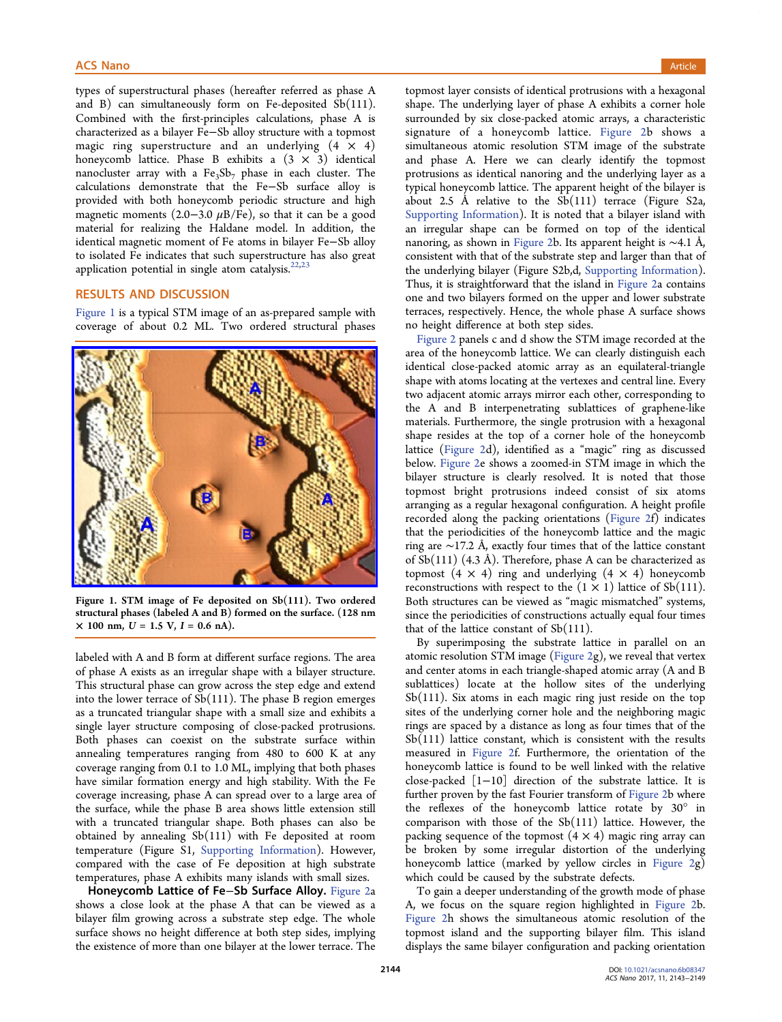types of superstructural phases (hereafter referred as phase A and B) can simultaneously form on Fe-deposited Sb(111). Combined with the first-principles calculations, phase A is characterized as a bilayer Fe−Sb alloy structure with a topmost magic ring superstructure and an underlying  $(4 \times 4)$ honeycomb lattice. Phase B exhibits a  $(3 \times 3)$  identical nanocluster array with a  $Fe<sub>3</sub>Sb<sub>7</sub>$  phase in each cluster. The calculations demonstrate that the Fe−Sb surface alloy is provided with both honeycomb periodic structure and high magnetic moments (2.0–3.0  $\mu$ B/Fe), so that it can be a good material for realizing the Haldane model. In addition, the identical magnetic moment of Fe atoms in bilayer Fe−Sb alloy to isolated Fe indicates that such superstructure has also great application potential in single atom catalysis. $22,23$ 

# RESULTS AND DISCUSSION

Figure 1 is a typical STM image of an as-prepared sample with coverage of about 0.2 ML. Two ordered structural phases



[Figure 1. STM image of Fe deposited on Sb\(111\). Two ordered](http://pubs.acs.org/action/showImage?doi=10.1021/acsnano.6b08347&iName=master.img-001.jpg&w=239&h=187) structural phases (labeled A and B) formed on the surface. (128 nm  $\times$  100 nm,  $U = 1.5$  V,  $I = 0.6$  nA).

labeled with A and B form at different surface regions. The area of phase A exists as an irregular shape with a bilayer structure. This structural phase can grow across the step edge and extend into the lower terrace of  $Sb(111)$ . The phase B region emerges as a truncated triangular shape with a small size and exhibits a single layer structure composing of close-packed protrusions. Both phases can coexist on the substrate surface within annealing temperatures ranging from 480 to 600 K at any coverage ranging from 0.1 to 1.0 ML, implying that both phases have similar formation energy and high stability. With the Fe coverage increasing, phase A can spread over to a large area of the surface, while the phase B area shows little extension still with a truncated triangular shape. Both phases can also be obtained by annealing Sb(111) with Fe deposited at room temperature (Figure S1, Supporting Information). However, compared with the case of Fe deposition at high substrate temperatures, phase A ex[hibits many islands with](http://pubs.acs.org/doi/suppl/10.1021/acsnano.6b08347/suppl_file/nn6b08347_si_001.pdf) small sizes.

Honeycomb Lattice of Fe−Sb Surface Alloy. Figure 2a shows a close look at the phase A that can be viewed as a bilayer film growing across a substrate step edge. [The whole](#page-2-0) surface shows no height difference at both step sides, implying the existence of more than one bilayer at the lower terrace. The

topmost layer consists of identical protrusions with a hexagonal shape. The underlying layer of phase A exhibits a corner hole surrounded by six close-packed atomic arrays, a characteristic signature of a honeycomb lattice. Figure 2b shows a simultaneous atomic resolution STM image of the substrate and phase A. Here we can clearly [identify t](#page-2-0)he topmost protrusions as identical nanoring and the underlying layer as a typical honeycomb lattice. The apparent height of the bilayer is about 2.5 Å relative to the  $Sb(111)$  terrace (Figure S2a, Supporting Information). It is noted that a bilayer island with an irregular shape can be formed on top of the identical [nanoring, as shown in](http://pubs.acs.org/doi/suppl/10.1021/acsnano.6b08347/suppl_file/nn6b08347_si_001.pdf) Figure 2b. Its apparent height is ∼4.1 Å, consistent with that of the substrate step and larger than that of the underlying bilayer [\(Figure S](#page-2-0)2b,d, Supporting Information). Thus, it is straightforward that the island in Figure 2a contains one and two bilayers formed on the [upper and lower substrat](http://pubs.acs.org/doi/suppl/10.1021/acsnano.6b08347/suppl_file/nn6b08347_si_001.pdf)e terraces, respectively. Hence, the whole pha[se A surf](#page-2-0)ace shows no height difference at both step sides.

Figure 2 panels c and d show the STM image recorded at the area of the honeycomb lattice. We can clearly distinguish each id[entical c](#page-2-0)lose-packed atomic array as an equilateral-triangle shape with atoms locating at the vertexes and central line. Every two adjacent atomic arrays mirror each other, corresponding to the A and B interpenetrating sublattices of graphene-like materials. Furthermore, the single protrusion with a hexagonal shape resides at the top of a corner hole of the honeycomb lattice (Figure 2d), identified as a "magic" ring as discussed below. Figure 2e shows a zoomed-in STM image in which the bilayer [structure](#page-2-0) is clearly resolved. It is noted that those topmo[st bright](#page-2-0) protrusions indeed consist of six atoms arranging as a regular hexagonal configuration. A height profile recorded along the packing orientations (Figure 2f) indicates that the periodicities of the honeycomb lattice and the magic ring are ∼17.2 Å, exactly four times that o[f the latti](#page-2-0)ce constant of  $Sb(111)$  (4.3 Å). Therefore, phase A can be characterized as topmost  $(4 \times 4)$  ring and underlying  $(4 \times 4)$  honeycomb reconstructions with respect to the  $(1 \times 1)$  lattice of Sb $(111)$ . Both structures can be viewed as "magic mismatched" systems, since the periodicities of constructions actually equal four times that of the lattice constant of  $Sb(111)$ .

By superimposing the substrate lattice in parallel on an atomic resolution STM image (Figure 2g), we reveal that vertex and center atoms in each triangle-shaped atomic array (A and B sublattices) locate at the h[ollow sit](#page-2-0)es of the underlying Sb(111). Six atoms in each magic ring just reside on the top sites of the underlying corner hole and the neighboring magic rings are spaced by a distance as long as four times that of the  $Sb(111)$  lattice constant, which is consistent with the results measured in Figure 2f. Furthermore, the orientation of the honeycomb lattice is found to be well linked with the relative close-packed [1−10] direction of the substrate lattice. It is further prove[n](#page-2-0) [by](#page-2-0) [the](#page-2-0) [fa](#page-2-0)st Fourier transform of Figure 2b where the reflexes of the honeycomb lattice rotate by 30° in comparison with those of the Sb(111) lattic[e. Howe](#page-2-0)ver, the packing sequence of the topmost  $(4 \times 4)$  magic ring array can be broken by some irregular distortion of the underlying honeycomb lattice (marked by yellow circles in Figure 2g) which could be caused by the substrate defects.

To gain a deeper understanding of the growth mo[de of pha](#page-2-0)se A, we focus on the square region highlighted in Figure 2b. Figure 2h shows the simultaneous atomic resolution of the topmost island and the supporting bilayer film. [This islan](#page-2-0)d [displays t](#page-2-0)he same bilayer configuration and packing orientation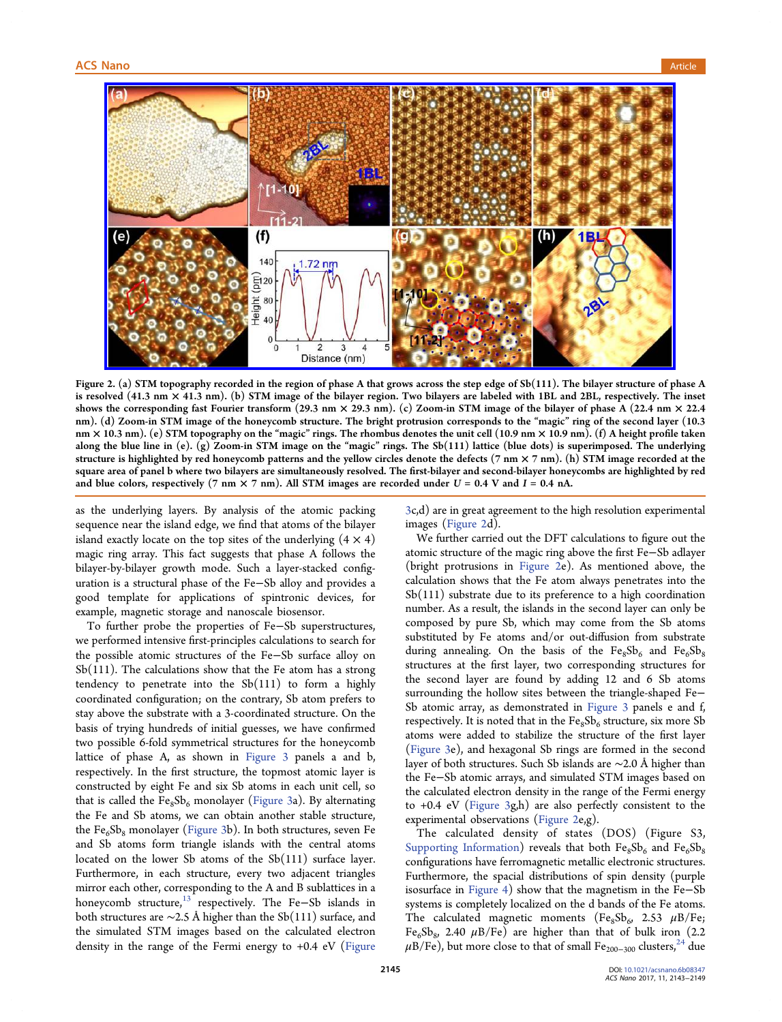<span id="page-2-0"></span>

Figure [2. \(a\) STM topography recorded in the region of phase A that grows across the step edge of Sb\(111\). The bilayer structure of p](http://pubs.acs.org/action/showImage?doi=10.1021/acsnano.6b08347&iName=master.img-002.jpg&w=451&h=224)hase A is resolved (41.3 nm × 41.3 nm). (b) STM image of the bilayer region. Two bilayers are labeled with 1BL and 2BL, respectively. The inset shows the corresponding fast Fourier transform (29.3 nm  $\times$  29.3 nm). (c) Zoom-in STM image of the bilayer of phase A (22.4 nm  $\times$  22.4 nm). (d) Zoom-in STM image of the honeycomb structure. The bright protrusion corresponds to the "magic" ring of the second layer (10.3 nm × 10.3 nm). (e) STM topography on the "magic" rings. The rhombus denotes the unit cell (10.9 nm × 10.9 nm). (f) A height profile taken along the blue line in (e). (g) Zoom-in STM image on the "magic" rings. The Sb(111) lattice (blue dots) is superimposed. The underlying structure is highlighted by red honeycomb patterns and the yellow circles denote the defects  $(7 \text{ nm} \times 7 \text{ nm})$ . (h) STM image recorded at the square area of panel b where two bilayers are simultaneously resolved. The first-bilayer and second-bilayer honeycombs are highlighted by red and blue colors, respectively (7 nm  $\times$  7 nm). All STM images are recorded under U = 0.4 V and I = 0.4 nA.

as the underlying layers. By analysis of the atomic packing sequence near the island edge, we find that atoms of the bilayer island exactly locate on the top sites of the underlying  $(4 \times 4)$ magic ring array. This fact suggests that phase A follows the bilayer-by-bilayer growth mode. Such a layer-stacked configuration is a structural phase of the Fe−Sb alloy and provides a good template for applications of spintronic devices, for example, magnetic storage and nanoscale biosensor.

To further probe the properties of Fe−Sb superstructures, we performed intensive first-principles calculations to search for the possible atomic structures of the Fe−Sb surface alloy on Sb(111). The calculations show that the Fe atom has a strong tendency to penetrate into the Sb(111) to form a highly coordinated configuration; on the contrary, Sb atom prefers to stay above the substrate with a 3-coordinated structure. On the basis of trying hundreds of initial guesses, we have confirmed two possible 6-fold symmetrical structures for the honeycomb lattice of phase A, as shown in Figure 3 panels a and b, respectively. In the first structure, the topmost atomic layer is constructed by eight Fe and six Sb [atoms in](#page-3-0) each unit cell, so that is called the  $Fe_8Sb_6$  monolayer (Figure 3a). By alternating the Fe and Sb atoms, we can obtain another stable structure, the  $Fe<sub>6</sub>Se<sub>8</sub>$  monolayer (Figure 3b). I[n both str](#page-3-0)uctures, seven Fe and Sb atoms form triangle islands with the central atoms located on the lower [Sb atoms](#page-3-0) of the Sb(111) surface layer. Furthermore, in each structure, every two adjacent triangles mirror each other, corresponding to the A and B sublattices in a honeycomb structure, $13$  respectively. The Fe-Sb islands in both structures are ∼2.5 Å higher than the Sb(111) surface, and the simulated STM i[ma](#page-6-0)ges based on the calculated electron density in the range of the Fermi energy to +0.4 eV (Figure

3c,d) are in great agreement to the high resolution experimental images (Figure 2d).

We further carried out the DFT calculations to figure out the [at](#page-3-0)omic structure of the magic ring above the first Fe−Sb adlayer (bright protrusions in Figure 2e). As mentioned above, the calculation shows that the Fe atom always penetrates into the Sb(111) substrate due to its preference to a high coordination number. As a result, the islands in the second layer can only be composed by pure Sb, which may come from the Sb atoms substituted by Fe atoms and/or out-diffusion from substrate during annealing. On the basis of the  $Fe_8Sb_6$  and  $Fe_6Sb_8$ structures at the first layer, two corresponding structures for the second layer are found by adding 12 and 6 Sb atoms surrounding the hollow sites between the triangle-shaped Fe− Sb atomic array, as demonstrated in Figure 3 panels e and f, respectively. It is noted that in the  $\text{Fe}_{8}\text{Sb}_{6}$  structure, six more Sb atoms were added to stabilize the st[ructure o](#page-3-0)f the first layer (Figure 3e), and hexagonal Sb rings are formed in the second layer of both structures. Such Sb islands are ∼2.0 Å higher than t[he Fe](#page-3-0)−Sb atomic arrays, and simulated STM images based on the calculated electron density in the range of the Fermi energy to +0.4 eV (Figure 3g,h) are also perfectly consistent to the experimental observations (Figure 2e,g).

The calc[ulated de](#page-3-0)nsity of states (DOS) (Figure S3, Supporting Information) reveals that both  $Fe_8Sb_6$  and  $Fe_6Sb_8$ configurations have ferromagnetic metallic electronic structures. [Furthermore, the spacia](http://pubs.acs.org/doi/suppl/10.1021/acsnano.6b08347/suppl_file/nn6b08347_si_001.pdf)l distributions of spin density (purple isosurface in Figure 4) show that the magnetism in the Fe−Sb systems is completely localized on the d bands of the Fe atoms. The calcula[ted mag](#page-4-0)netic moments ( $Fe_8Sb_6$ , 2.53  $\mu B/Fe$ ; Fe<sub>6</sub>Sb<sub>8</sub>, 2.40  $\mu$ B/Fe) are higher than that of bulk iron (2.2)  $\mu$ B/Fe), but more close to that of small Fe<sub>200−300</sub> clusters,<sup>24</sup> due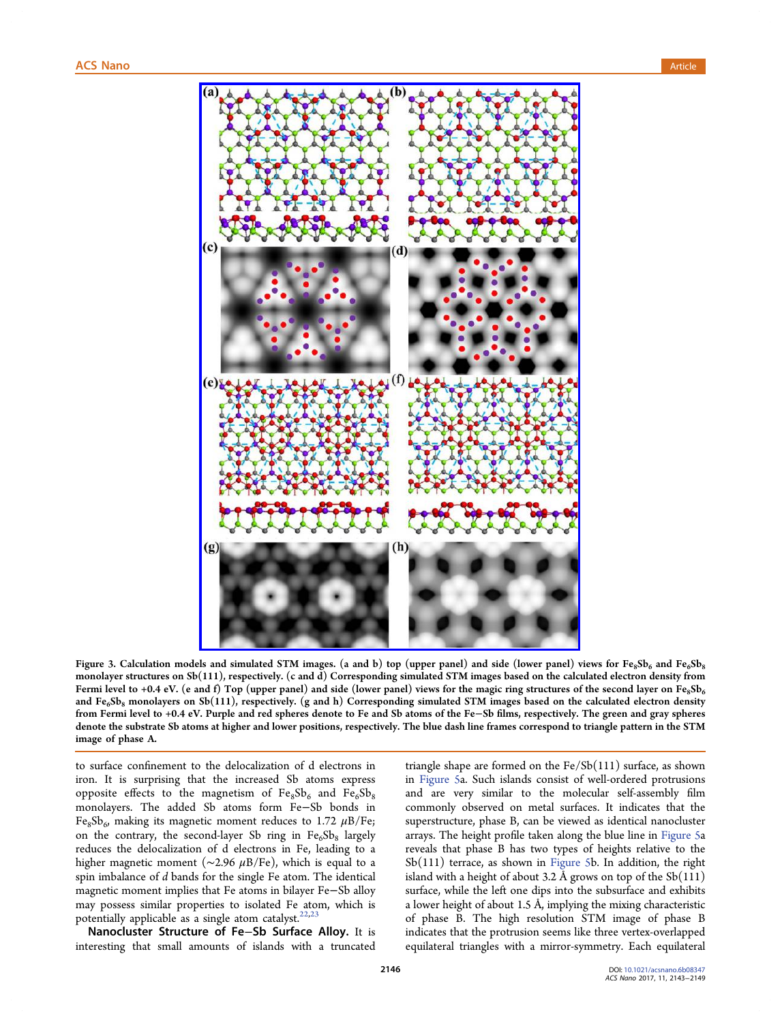<span id="page-3-0"></span>

Figure 3. Calculation model[s and simulated STM images. \(a and b\) top \(upper panel\) and side \(lower panel\)](http://pubs.acs.org/action/showImage?doi=10.1021/acsnano.6b08347&iName=master.img-003.jpg&w=299&h=449) views for  $Fe_8Sb_6$  and  $Fe_6Sb_8$ monolayer structures on Sb(111), respectively. (c and d) Corresponding simulated STM images based on the calculated electron density from Fermi level to +0.4 eV. (e and f) Top (upper panel) and side (lower panel) views for the magic ring structures of the second layer on Fe<sub>8</sub>Sb<sub>6</sub> and  $Fe_6Sb_8$  monolayers on Sb(111), respectively. (g and h) Corresponding simulated STM images based on the calculated electron density from Fermi level to +0.4 eV. Purple and red spheres denote to Fe and Sb atoms of the Fe−Sb films, respectively. The green and gray spheres denote the substrate Sb atoms at higher and lower positions, respectively. The blue dash line frames correspond to triangle pattern in the STM image of phase A.

to surface confinement to the delocalization of d electrons in iron. It is surprising that the increased Sb atoms express opposite effects to the magnetism of  $Fe_8Sb_6$  and  $Fe_6Sb_8$ monolayers. The added Sb atoms form Fe−Sb bonds in Fe<sub>8</sub>Sb<sub>6</sub>, making its magnetic moment reduces to 1.72  $\mu$ B/Fe; on the contrary, the second-layer Sb ring in  $Fe_6Sb_8$  largely reduces the delocalization of d electrons in Fe, leading to a higher magnetic moment ( $\sim$ 2.96  $\mu$ B/Fe), which is equal to a spin imbalance of d bands for the single Fe atom. The identical magnetic moment implies that Fe atoms in bilayer Fe−Sb alloy may possess similar properties to isolated Fe atom, which is potentially applicable as a single atom catalyst. $22,23$ 

Nanocluster Structure of Fe−Sb Surface Alloy. It is interesting that small amounts of islands w[ith](#page-6-0) a truncated triangle shape are formed on the Fe/Sb(111) surface, as shown in Figure 5a. Such islands consist of well-ordered protrusions and are very similar to the molecular self-assembly film co[mmonly](#page-5-0) observed on metal surfaces. It indicates that the superstructure, phase B, can be viewed as identical nanocluster arrays. The height profile taken along the blue line in Figure 5a reveals that phase B has two types of heights relative to the Sb(111) terrace, as shown in Figure 5b. In addition, [the righ](#page-5-0)t island with a height of about 3.2 Å grows on top of the  $Sb(111)$ surface, while the left one dip[s into the](#page-5-0) subsurface and exhibits a lower height of about 1.5 Å, implying the mixing characteristic of phase B. The high resolution STM image of phase B indicates that the protrusion seems like three vertex-overlapped equilateral triangles with a mirror-symmetry. Each equilateral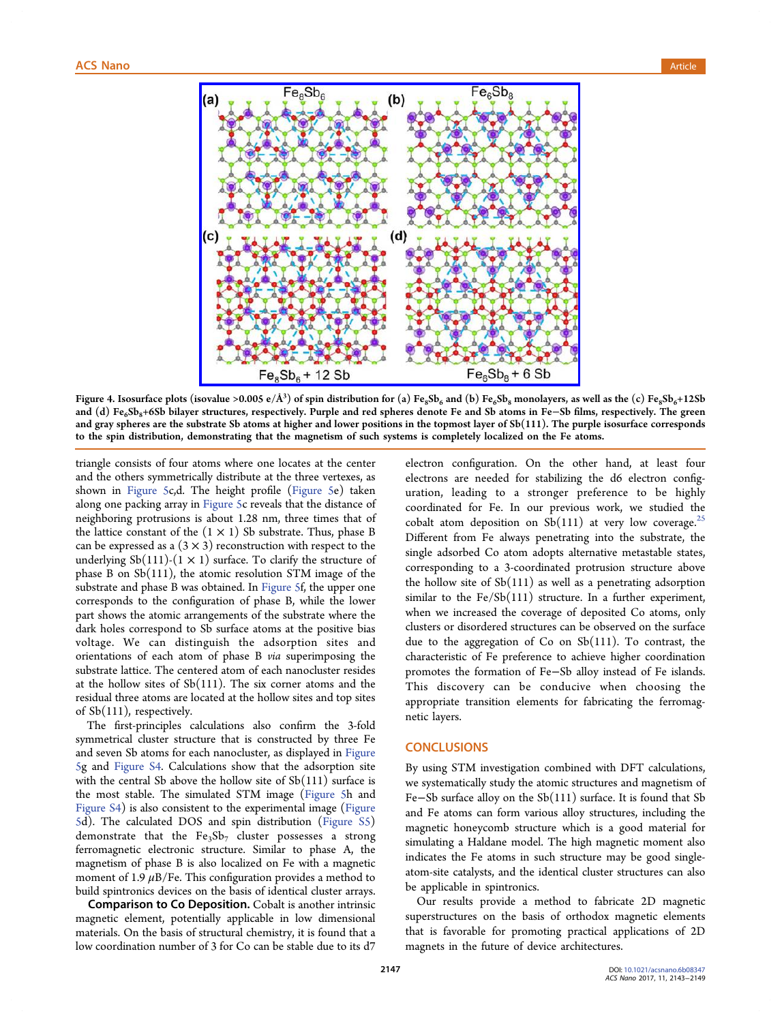<span id="page-4-0"></span>

Figure 4. Isosurface plots (isovalue >0.005 e/Å<sup>3</sup>) of spin distribution for (a)  $Fe_8Sb_6$  and (b)  $Fe_6Sb_8$  monolayers, as well as the (c)  $Fe_8Sb_6+12Sb_6$ and (d) Fe<sub>6</sub>Sb<sub>8</sub>+6Sb bilayer [structures, respectively. Purple and red spheres denote Fe and Sb atoms in Fe](http://pubs.acs.org/action/showImage?doi=10.1021/acsnano.6b08347&iName=master.img-004.jpg&w=299&h=237)–Sb films, respectively. The green and gray spheres are the substrate Sb atoms at higher and lower positions in the topmost layer of Sb(111). The purple isosurface corresponds to the spin distribution, demonstrating that the magnetism of such systems is completely localized on the Fe atoms.

triangle consists of four atoms where one locates at the center and the others symmetrically distribute at the three vertexes, as shown in Figure 5c,d. The height profile (Figure 5e) taken along one packing array in Figure 5c reveals that the distance of neighborin[g protrus](#page-5-0)ions is about 1.28 nm, t[hree time](#page-5-0)s that of the lattice constant of the  $(1 \times 1)$  Sb substrate. Thus, phase B can be expressed as a  $(3 \times 3)$  $(3 \times 3)$  [recon](#page-5-0)struction with respect to the underlying Sb(111)-(1  $\times$  1) surface. To clarify the structure of phase B on Sb(111), the atomic resolution STM image of the substrate and phase B was obtained. In Figure 5f, the upper one corresponds to the configuration of phase B, while the lower part shows the atomic arrangements of [the subs](#page-5-0)trate where the dark holes correspond to Sb surface atoms at the positive bias voltage. We can distinguish the adsorption sites and orientations of each atom of phase B via superimposing the substrate lattice. The centered atom of each nanocluster resides at the hollow sites of Sb(111). The six corner atoms and the residual three atoms are located at the hollow sites and top sites of Sb(111), respectively.

The first-principles calculations also confirm the 3-fold symmetrical cluster structure that is constructed by three Fe and seven Sb atoms for each nanocluster, as displayed in Figure 5g and Figure S4. Calculations show that the adsorption site with the central Sb above the hollow site of  $Sb(111)$  su[rface is](#page-5-0) [th](#page-5-0)e mo[st stable. T](http://pubs.acs.org/doi/suppl/10.1021/acsnano.6b08347/suppl_file/nn6b08347_si_001.pdf)he simulated STM image (Figure 5h and Figure S4) is also consistent to the experimental image (Figure 5d). The calculated DOS and spin distributi[on \(Figur](#page-5-0)e S5) [demonstr](http://pubs.acs.org/doi/suppl/10.1021/acsnano.6b08347/suppl_file/nn6b08347_si_001.pdf)ate that the  $Fe<sub>3</sub>Sb<sub>7</sub>$  cluster possesses a [strong](#page-5-0) [fe](#page-5-0)rromagnetic electronic structure. Similar to ph[ase A, the](http://pubs.acs.org/doi/suppl/10.1021/acsnano.6b08347/suppl_file/nn6b08347_si_001.pdf) magnetism of phase B is also localized on Fe with a magnetic moment of 1.9  $\mu$ B/Fe. This configuration provides a method to build spintronics devices on the basis of identical cluster arrays.

Comparison to Co Deposition. Cobalt is another intrinsic magnetic element, potentially applicable in low dimensional materials. On the basis of structural chemistry, it is found that a low coordination number of 3 for Co can be stable due to its d7

electron configuration. On the other hand, at least four electrons are needed for stabilizing the d6 electron configuration, leading to a stronger preference to be highly coordinated for Fe. In our previous work, we studied the cobalt atom deposition on  $Sb(111)$  at very low coverage.<sup>25</sup> Different from Fe always penetrating into the substrate, the single adsorbed Co atom adopts alternative metastable stat[es,](#page-6-0) corresponding to a 3-coordinated protrusion structure above the hollow site of  $Sb(111)$  as well as a penetrating adsorption similar to the  $Fe/Se(111)$  structure. In a further experiment, when we increased the coverage of deposited Co atoms, only clusters or disordered structures can be observed on the surface due to the aggregation of Co on Sb(111). To contrast, the characteristic of Fe preference to achieve higher coordination promotes the formation of Fe−Sb alloy instead of Fe islands. This discovery can be conducive when choosing the appropriate transition elements for fabricating the ferromagnetic layers.

## **CONCLUSIONS**

By using STM investigation combined with DFT calculations, we systematically study the atomic structures and magnetism of Fe−Sb surface alloy on the Sb(111) surface. It is found that Sb and Fe atoms can form various alloy structures, including the magnetic honeycomb structure which is a good material for simulating a Haldane model. The high magnetic moment also indicates the Fe atoms in such structure may be good singleatom-site catalysts, and the identical cluster structures can also be applicable in spintronics.

Our results provide a method to fabricate 2D magnetic superstructures on the basis of orthodox magnetic elements that is favorable for promoting practical applications of 2D magnets in the future of device architectures.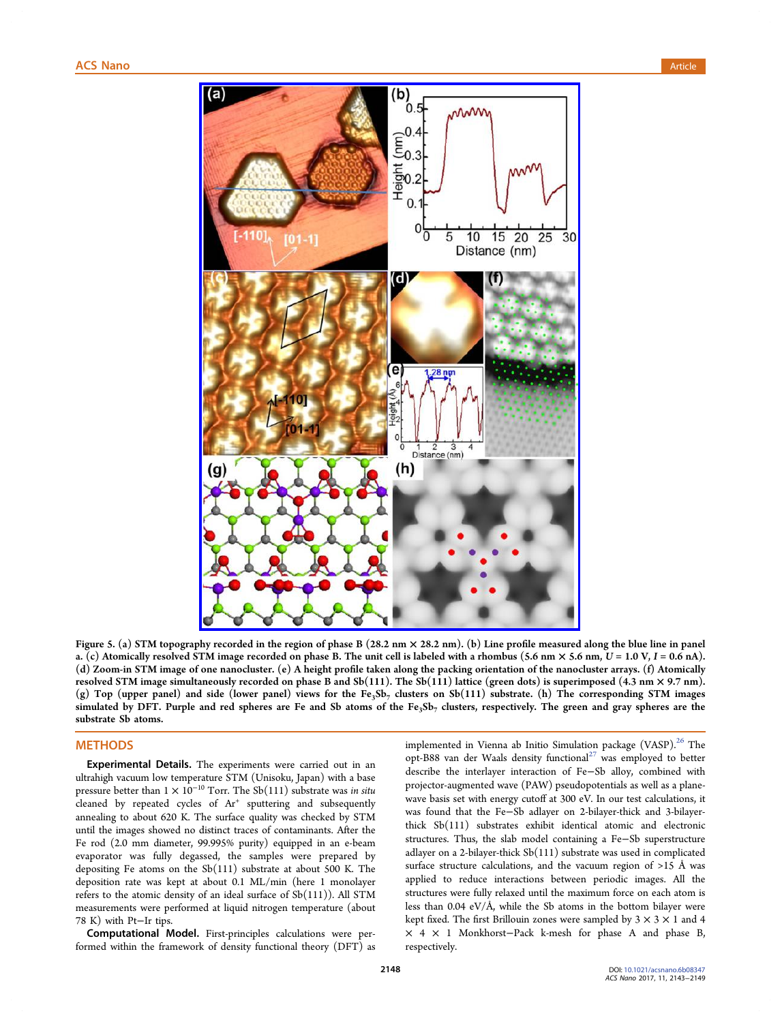<span id="page-5-0"></span>

Figure 5. (a) STM topography recorded in the region of phase B (28.2 nm × 28.2 nm). (b) Line profile measured along the blue line in panel a. (c) Atomically resolved S[TM image recorded on phase B. The unit cell is labeled with a rhombus \(5.6 nm](http://pubs.acs.org/action/showImage?doi=10.1021/acsnano.6b08347&iName=master.img-005.jpg&w=299&h=433)  $\times$  5.6 nm,  $U = 1.0$  V,  $I = 0.6$  nA). (d) Zoom-in STM image of one nanocluster. (e) A height profile taken along the packing orientation of the nanocluster arrays. (f) Atomically resolved STM image simultaneously recorded on phase B and  $Sb(111)$ . The  $Sb(111)$  lattice (green dots) is superimposed (4.3 nm  $\times$  9.7 nm). (g) Top (upper panel) and side (lower panel) views for the Fe<sub>3</sub>Sb<sub>7</sub> clusters on Sb(111) substrate. (h) The corresponding STM images simulated by DFT. Purple and red spheres are Fe and Sb atoms of the Fe<sub>3</sub>Sb<sub>7</sub> clusters, respectively. The green and gray spheres are the substrate Sb atoms.

# **METHODS**

Experimental Details. The experiments were carried out in an ultrahigh vacuum low temperature STM (Unisoku, Japan) with a base pressure better than  $1 \times 10^{-10}$  Torr. The Sb(111) substrate was in situ cleaned by repeated cycles of  $Ar^+$  sputtering and subsequently annealing to about 620 K. The surface quality was checked by STM until the images showed no distinct traces of contaminants. After the Fe rod (2.0 mm diameter, 99.995% purity) equipped in an e-beam evaporator was fully degassed, the samples were prepared by depositing Fe atoms on the Sb(111) substrate at about 500 K. The deposition rate was kept at about 0.1 ML/min (here 1 monolayer refers to the atomic density of an ideal surface of  $Sb(111)$ ). All STM measurements were performed at liquid nitrogen temperature (about 78 K) with Pt−Ir tips.

Computational Model. First-principles calculations were performed within the framework of density functional theory (DFT) as implemented in Vienna ab Initio Simulation package (VASP).<sup>26</sup> The opt-B88 van der Waals density functional $^{27}$  was employed to better describe the interlayer interaction of Fe−Sb alloy, combine[d](#page-6-0) with projector-augmented wave (PAW) pseudo[po](#page-6-0)tentials as well as a planewave basis set with energy cutoff at 300 eV. In our test calculations, it was found that the Fe−Sb adlayer on 2-bilayer-thick and 3-bilayerthick Sb(111) substrates exhibit identical atomic and electronic structures. Thus, the slab model containing a Fe−Sb superstructure adlayer on a 2-bilayer-thick Sb(111) substrate was used in complicated surface structure calculations, and the vacuum region of  $>15$  Å was applied to reduce interactions between periodic images. All the structures were fully relaxed until the maximum force on each atom is less than 0.04 eV/Å, while the Sb atoms in the bottom bilayer were kept fixed. The first Brillouin zones were sampled by  $3 \times 3 \times 1$  and 4 × 4 × 1 Monkhorst−Pack k-mesh for phase A and phase B, respectively.